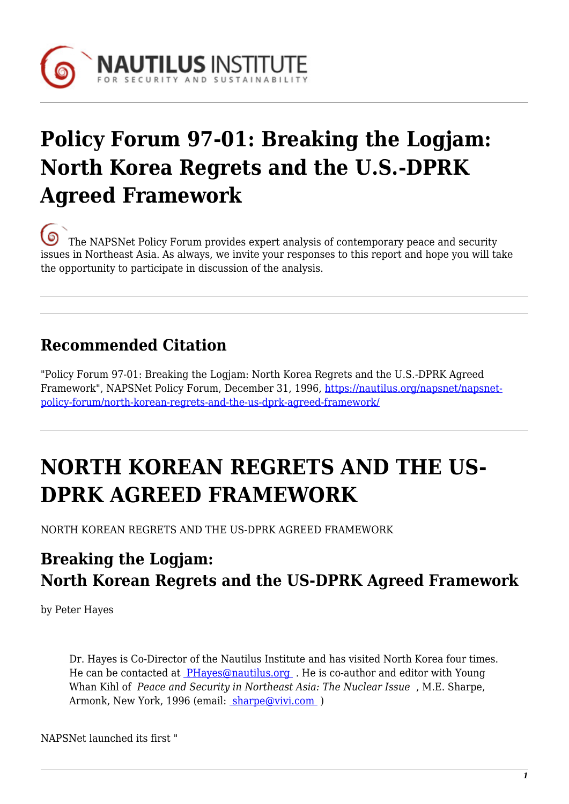

# **Policy Forum 97-01: Breaking the Logjam: North Korea Regrets and the U.S.-DPRK Agreed Framework**

[T](https://nautilus.org/wp-content/uploads/2013/05/nautilus-logo-small.png)he NAPSNet Policy Forum provides expert analysis of contemporary peace and security issues in Northeast Asia. As always, we invite your responses to this report and hope you will take the opportunity to participate in discussion of the analysis.

### **Recommended Citation**

"Policy Forum 97-01: Breaking the Logjam: North Korea Regrets and the U.S.-DPRK Agreed Framework", NAPSNet Policy Forum, December 31, 1996, [https://nautilus.org/napsnet/napsnet](https://nautilus.org/napsnet/napsnet-policy-forum/north-korean-regrets-and-the-us-dprk-agreed-framework/)[policy-forum/north-korean-regrets-and-the-us-dprk-agreed-framework/](https://nautilus.org/napsnet/napsnet-policy-forum/north-korean-regrets-and-the-us-dprk-agreed-framework/)

# **NORTH KOREAN REGRETS AND THE US-DPRK AGREED FRAMEWORK**

NORTH KOREAN REGRETS AND THE US-DPRK AGREED FRAMEWORK

## **Breaking the Logjam: North Korean Regrets and the US-DPRK Agreed Framework**

by Peter Hayes

Dr. Hayes is Co-Director of the Nautilus Institute and has visited North Korea four times. He can be contacted at [PHayes@nautilus.org](mailto:phayes@nautilus.org (Peter--from Korea Op-Ed Web Page)) . He is co-author and editor with Young Whan Kihl of *Peace and Security in Northeast Asia: The Nuclear Issue* , M.E. Sharpe, Armonk, New York, 1996 (email: [sharpe@vivi.com](mailto:sharpe@vivi.com) )

NAPSNet launched its first "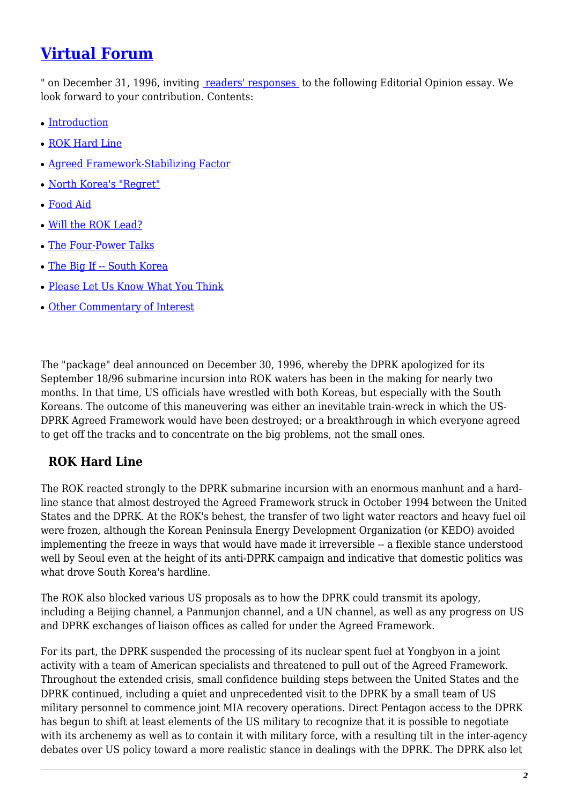### **[Virtual Forum](https://nautilus.org/publications/essays/napsnet/forum/policy-forum-archive/north-korean-regrets-and-the-us-dprk-agreed-framework-2/)**

" on December 31, 1996, inviting [readers' responses](https://nautilus.org/publications/essays/napsnet/forum/policy-forum-archive/north-korean-regrets-and-the-us-dprk-agreed-framework-2/) to the following Editorial Opinion essay. We look forward to your contribution. Contents:

- [Introduction](#page--1-0)
- [ROK Hard Line](#page-1-0)
- [Agreed Framework-Stabilizing Factor](#page-2-0)
- [North Korea's "Regret"](#page-2-1)
- [Food Aid](#page-2-2)
- [Will the ROK Lead?](#page-3-0)
- [The Four-Power Talks](#page-4-0)
- [The Big If -- South Korea](#page-4-1)
- [Please Let Us Know What You Think](#page-5-0)
- [Other Commentary of Interest](#page--1-0)

The "package" deal announced on December 30, 1996, whereby the DPRK apologized for its September 18/96 submarine incursion into ROK waters has been in the making for nearly two months. In that time, US officials have wrestled with both Koreas, but especially with the South Koreans. The outcome of this maneuvering was either an inevitable train-wreck in which the US-DPRK Agreed Framework would have been destroyed; or a breakthrough in which everyone agreed to get off the tracks and to concentrate on the big problems, not the small ones.

#### <span id="page-1-0"></span> **ROK Hard Line**

The ROK reacted strongly to the DPRK submarine incursion with an enormous manhunt and a hardline stance that almost destroyed the Agreed Framework struck in October 1994 between the United States and the DPRK. At the ROK's behest, the transfer of two light water reactors and heavy fuel oil were frozen, although the Korean Peninsula Energy Development Organization (or KEDO) avoided implementing the freeze in ways that would have made it irreversible -- a flexible stance understood well by Seoul even at the height of its anti-DPRK campaign and indicative that domestic politics was what drove South Korea's hardline.

The ROK also blocked various US proposals as to how the DPRK could transmit its apology, including a Beijing channel, a Panmunjon channel, and a UN channel, as well as any progress on US and DPRK exchanges of liaison offices as called for under the Agreed Framework.

For its part, the DPRK suspended the processing of its nuclear spent fuel at Yongbyon in a joint activity with a team of American specialists and threatened to pull out of the Agreed Framework. Throughout the extended crisis, small confidence building steps between the United States and the DPRK continued, including a quiet and unprecedented visit to the DPRK by a small team of US military personnel to commence joint MIA recovery operations. Direct Pentagon access to the DPRK has begun to shift at least elements of the US military to recognize that it is possible to negotiate with its archenemy as well as to contain it with military force, with a resulting tilt in the inter-agency debates over US policy toward a more realistic stance in dealings with the DPRK. The DPRK also let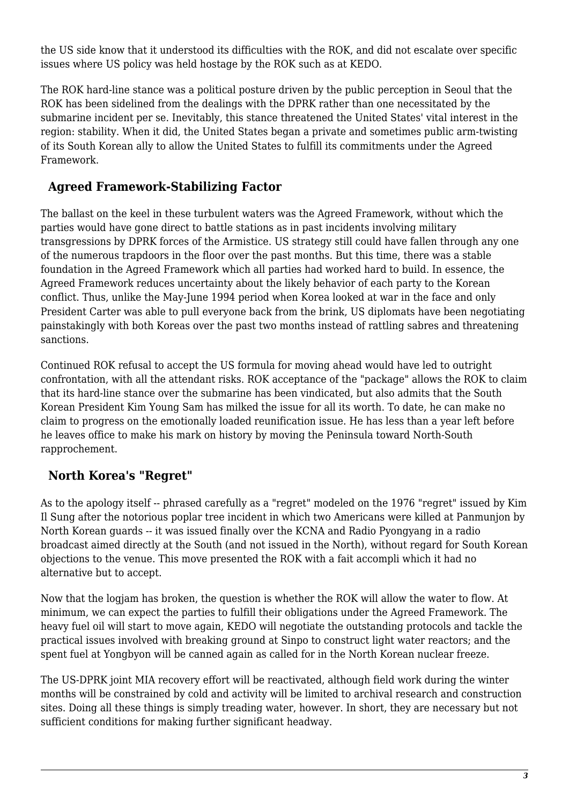the US side know that it understood its difficulties with the ROK, and did not escalate over specific issues where US policy was held hostage by the ROK such as at KEDO.

The ROK hard-line stance was a political posture driven by the public perception in Seoul that the ROK has been sidelined from the dealings with the DPRK rather than one necessitated by the submarine incident per se. Inevitably, this stance threatened the United States' vital interest in the region: stability. When it did, the United States began a private and sometimes public arm-twisting of its South Korean ally to allow the United States to fulfill its commitments under the Agreed Framework.

#### <span id="page-2-0"></span> **Agreed Framework-Stabilizing Factor**

The ballast on the keel in these turbulent waters was the Agreed Framework, without which the parties would have gone direct to battle stations as in past incidents involving military transgressions by DPRK forces of the Armistice. US strategy still could have fallen through any one of the numerous trapdoors in the floor over the past months. But this time, there was a stable foundation in the Agreed Framework which all parties had worked hard to build. In essence, the Agreed Framework reduces uncertainty about the likely behavior of each party to the Korean conflict. Thus, unlike the May-June 1994 period when Korea looked at war in the face and only President Carter was able to pull everyone back from the brink, US diplomats have been negotiating painstakingly with both Koreas over the past two months instead of rattling sabres and threatening sanctions.

Continued ROK refusal to accept the US formula for moving ahead would have led to outright confrontation, with all the attendant risks. ROK acceptance of the "package" allows the ROK to claim that its hard-line stance over the submarine has been vindicated, but also admits that the South Korean President Kim Young Sam has milked the issue for all its worth. To date, he can make no claim to progress on the emotionally loaded reunification issue. He has less than a year left before he leaves office to make his mark on history by moving the Peninsula toward North-South rapprochement.

#### <span id="page-2-1"></span> **North Korea's "Regret"**

As to the apology itself -- phrased carefully as a "regret" modeled on the 1976 "regret" issued by Kim Il Sung after the notorious poplar tree incident in which two Americans were killed at Panmunjon by North Korean guards -- it was issued finally over the KCNA and Radio Pyongyang in a radio broadcast aimed directly at the South (and not issued in the North), without regard for South Korean objections to the venue. This move presented the ROK with a fait accompli which it had no alternative but to accept.

Now that the logjam has broken, the question is whether the ROK will allow the water to flow. At minimum, we can expect the parties to fulfill their obligations under the Agreed Framework. The heavy fuel oil will start to move again, KEDO will negotiate the outstanding protocols and tackle the practical issues involved with breaking ground at Sinpo to construct light water reactors; and the spent fuel at Yongbyon will be canned again as called for in the North Korean nuclear freeze.

<span id="page-2-2"></span>The US-DPRK joint MIA recovery effort will be reactivated, although field work during the winter months will be constrained by cold and activity will be limited to archival research and construction sites. Doing all these things is simply treading water, however. In short, they are necessary but not sufficient conditions for making further significant headway.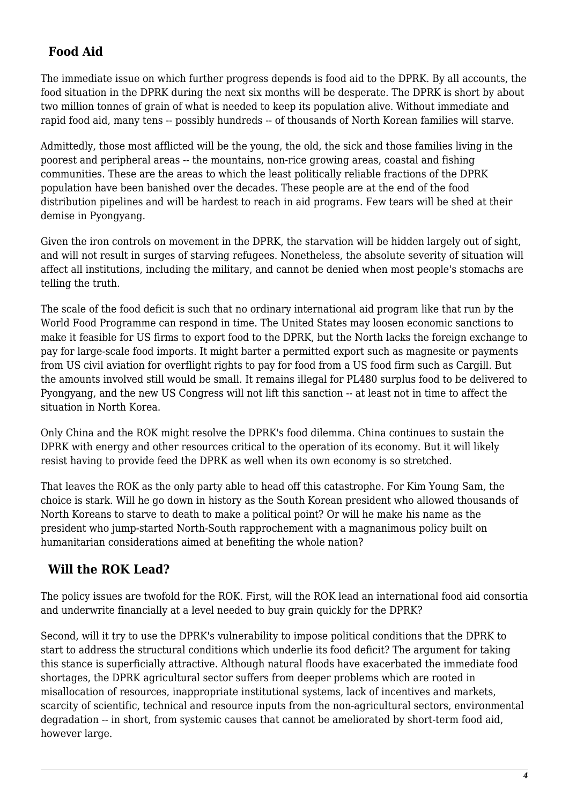#### **Food Aid**

The immediate issue on which further progress depends is food aid to the DPRK. By all accounts, the food situation in the DPRK during the next six months will be desperate. The DPRK is short by about two million tonnes of grain of what is needed to keep its population alive. Without immediate and rapid food aid, many tens -- possibly hundreds -- of thousands of North Korean families will starve.

Admittedly, those most afflicted will be the young, the old, the sick and those families living in the poorest and peripheral areas -- the mountains, non-rice growing areas, coastal and fishing communities. These are the areas to which the least politically reliable fractions of the DPRK population have been banished over the decades. These people are at the end of the food distribution pipelines and will be hardest to reach in aid programs. Few tears will be shed at their demise in Pyongyang.

Given the iron controls on movement in the DPRK, the starvation will be hidden largely out of sight, and will not result in surges of starving refugees. Nonetheless, the absolute severity of situation will affect all institutions, including the military, and cannot be denied when most people's stomachs are telling the truth.

The scale of the food deficit is such that no ordinary international aid program like that run by the World Food Programme can respond in time. The United States may loosen economic sanctions to make it feasible for US firms to export food to the DPRK, but the North lacks the foreign exchange to pay for large-scale food imports. It might barter a permitted export such as magnesite or payments from US civil aviation for overflight rights to pay for food from a US food firm such as Cargill. But the amounts involved still would be small. It remains illegal for PL480 surplus food to be delivered to Pyongyang, and the new US Congress will not lift this sanction -- at least not in time to affect the situation in North Korea.

Only China and the ROK might resolve the DPRK's food dilemma. China continues to sustain the DPRK with energy and other resources critical to the operation of its economy. But it will likely resist having to provide feed the DPRK as well when its own economy is so stretched.

That leaves the ROK as the only party able to head off this catastrophe. For Kim Young Sam, the choice is stark. Will he go down in history as the South Korean president who allowed thousands of North Koreans to starve to death to make a political point? Or will he make his name as the president who jump-started North-South rapprochement with a magnanimous policy built on humanitarian considerations aimed at benefiting the whole nation?

#### <span id="page-3-0"></span> **Will the ROK Lead?**

The policy issues are twofold for the ROK. First, will the ROK lead an international food aid consortia and underwrite financially at a level needed to buy grain quickly for the DPRK?

Second, will it try to use the DPRK's vulnerability to impose political conditions that the DPRK to start to address the structural conditions which underlie its food deficit? The argument for taking this stance is superficially attractive. Although natural floods have exacerbated the immediate food shortages, the DPRK agricultural sector suffers from deeper problems which are rooted in misallocation of resources, inappropriate institutional systems, lack of incentives and markets, scarcity of scientific, technical and resource inputs from the non-agricultural sectors, environmental degradation -- in short, from systemic causes that cannot be ameliorated by short-term food aid, however large.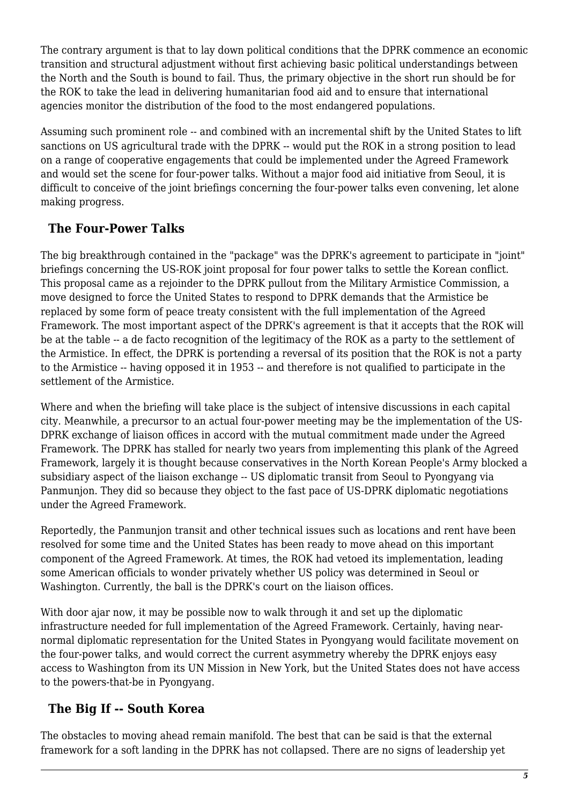The contrary argument is that to lay down political conditions that the DPRK commence an economic transition and structural adjustment without first achieving basic political understandings between the North and the South is bound to fail. Thus, the primary objective in the short run should be for the ROK to take the lead in delivering humanitarian food aid and to ensure that international agencies monitor the distribution of the food to the most endangered populations.

Assuming such prominent role -- and combined with an incremental shift by the United States to lift sanctions on US agricultural trade with the DPRK -- would put the ROK in a strong position to lead on a range of cooperative engagements that could be implemented under the Agreed Framework and would set the scene for four-power talks. Without a major food aid initiative from Seoul, it is difficult to conceive of the joint briefings concerning the four-power talks even convening, let alone making progress.

#### <span id="page-4-0"></span> **The Four-Power Talks**

The big breakthrough contained in the "package" was the DPRK's agreement to participate in "joint" briefings concerning the US-ROK joint proposal for four power talks to settle the Korean conflict. This proposal came as a rejoinder to the DPRK pullout from the Military Armistice Commission, a move designed to force the United States to respond to DPRK demands that the Armistice be replaced by some form of peace treaty consistent with the full implementation of the Agreed Framework. The most important aspect of the DPRK's agreement is that it accepts that the ROK will be at the table -- a de facto recognition of the legitimacy of the ROK as a party to the settlement of the Armistice. In effect, the DPRK is portending a reversal of its position that the ROK is not a party to the Armistice -- having opposed it in 1953 -- and therefore is not qualified to participate in the settlement of the Armistice.

Where and when the briefing will take place is the subject of intensive discussions in each capital city. Meanwhile, a precursor to an actual four-power meeting may be the implementation of the US-DPRK exchange of liaison offices in accord with the mutual commitment made under the Agreed Framework. The DPRK has stalled for nearly two years from implementing this plank of the Agreed Framework, largely it is thought because conservatives in the North Korean People's Army blocked a subsidiary aspect of the liaison exchange -- US diplomatic transit from Seoul to Pyongyang via Panmunjon. They did so because they object to the fast pace of US-DPRK diplomatic negotiations under the Agreed Framework.

Reportedly, the Panmunjon transit and other technical issues such as locations and rent have been resolved for some time and the United States has been ready to move ahead on this important component of the Agreed Framework. At times, the ROK had vetoed its implementation, leading some American officials to wonder privately whether US policy was determined in Seoul or Washington. Currently, the ball is the DPRK's court on the liaison offices.

With door ajar now, it may be possible now to walk through it and set up the diplomatic infrastructure needed for full implementation of the Agreed Framework. Certainly, having nearnormal diplomatic representation for the United States in Pyongyang would facilitate movement on the four-power talks, and would correct the current asymmetry whereby the DPRK enjoys easy access to Washington from its UN Mission in New York, but the United States does not have access to the powers-that-be in Pyongyang.

#### <span id="page-4-1"></span> **The Big If -- South Korea**

The obstacles to moving ahead remain manifold. The best that can be said is that the external framework for a soft landing in the DPRK has not collapsed. There are no signs of leadership yet